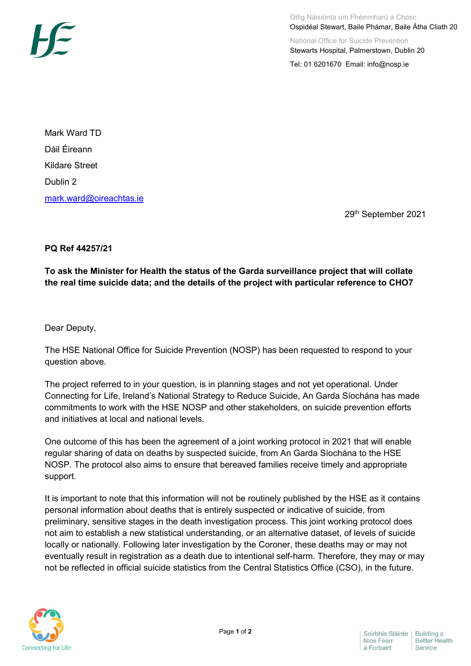

Mark Ward TD Dáil Éireann Kildare Street Dublin 2 [mark.ward@oireachtas.ie](mailto:mark.ward@oireachtas.ie)

29th September 2021

## **PQ Ref 44257/21**

**To ask the Minister for Health the status of the Garda surveillance project that will collate the real time suicide data; and the details of the project with particular reference to CHO7**

Dear Deputy,

The HSE National Office for Suicide Prevention (NOSP) has been requested to respond to your question above.

The project referred to in your question, is in planning stages and not yet operational. Under Connecting for Life, Ireland's National Strategy to Reduce Suicide, An Garda Síochána has made commitments to work with the HSE NOSP and other stakeholders, on suicide prevention efforts and initiatives at local and national levels.

One outcome of this has been the agreement of a joint working protocol in 2021 that will enable regular sharing of data on deaths by suspected suicide, from An Garda Síochána to the HSE NOSP. The protocol also aims to ensure that bereaved families receive timely and appropriate support.

It is important to note that this information will not be routinely published by the HSE as it contains personal information about deaths that is entirely suspected or indicative of suicide, from preliminary, sensitive stages in the death investigation process. This joint working protocol does not aim to establish a new statistical understanding, or an alternative dataset, of levels of suicide locally or nationally. Following later investigation by the Coroner, these deaths may or may not eventually result in registration as a death due to intentional self-harm. Therefore, they may or may not be reflected in official suicide statistics from the Central Statistics Office (CSO), in the future.